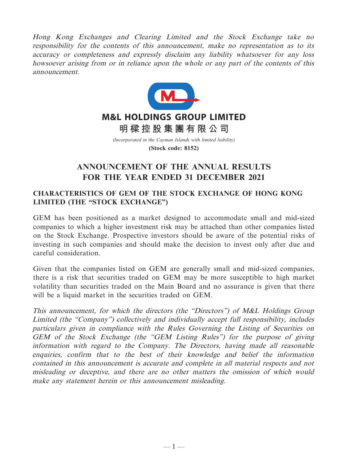Hong Kong Exchanges and Clearing Limited and the Stock Exchange take no responsibility for the contents of this announcement, make no representation as to its accuracy or completeness and expressly disclaim any liability whatsoever for any loss howsoever arising from or in reliance upon the whole or any part of the contents of this announcement.



# **ANNOUNCEMENT OF THE ANNUAL RESULTS FOR THE YEAR ENDED 31 DECEMBER 2021**

## **CHARACTERISTICS OF GEM OF THE STOCK EXCHANGE OF HONG KONG LIMITED (THE "STOCK EXCHANGE")**

GEM has been positioned as a market designed to accommodate small and mid-sized companies to which a higher investment risk may be attached than other companies listed on the Stock Exchange. Prospective investors should be aware of the potential risks of investing in such companies and should make the decision to invest only after due and careful consideration.

Given that the companies listed on GEM are generally small and mid-sized companies, there is a risk that securities traded on GEM may be more susceptible to high market volatility than securities traded on the Main Board and no assurance is given that there will be a liquid market in the securities traded on GEM.

This announcement, for which the directors (the "Directors") of M&L Holdings Group Limited (the "Company") collectively and individually accept full responsibility, includes particulars given in compliance with the Rules Governing the Listing of Securities on GEM of the Stock Exchange (the "GEM Listing Rules") for the purpose of giving information with regard to the Company. The Directors, having made all reasonable enquiries, confirm that to the best of their knowledge and belief the information contained in this announcement is accurate and complete in all material respects and not misleading or deceptive, and there are no other matters the omission of which would make any statement herein or this announcement misleading.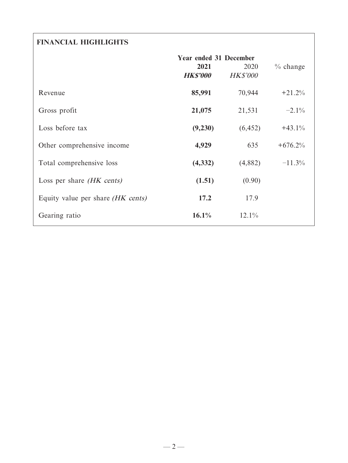# **FINANCIAL HIGHLIGHTS**

|                                          | <b>Year ended 31 December</b><br>2021<br><b>HK\$'000</b> | 2020<br><b>HK\$'000</b> | $%$ change |
|------------------------------------------|----------------------------------------------------------|-------------------------|------------|
| Revenue                                  | 85,991                                                   | 70,944                  | $+21.2%$   |
| Gross profit                             | 21,075                                                   | 21,531                  | $-2.1\%$   |
| Loss before tax                          | (9,230)                                                  | (6, 452)                | $+43.1%$   |
| Other comprehensive income               | 4,929                                                    | 635                     | $+676.2%$  |
| Total comprehensive loss                 | (4, 332)                                                 | (4,882)                 | $-11.3\%$  |
| Loss per share <i>(HK cents)</i>         | (1.51)                                                   | (0.90)                  |            |
| Equity value per share <i>(HK cents)</i> | 17.2                                                     | 17.9                    |            |
| Gearing ratio                            | 16.1%                                                    | 12.1%                   |            |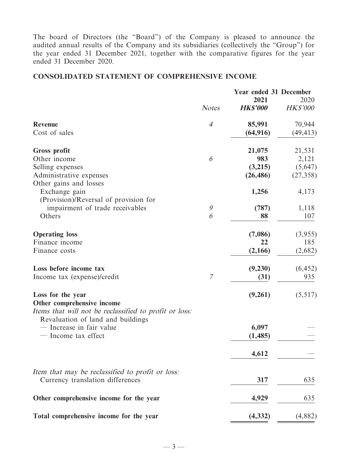The board of Directors (the "Board") of the Company is pleased to announce the audited annual results of the Company and its subsidiaries (collectively the "Group") for the year ended 31 December 2021, together with the comparative figures for the year ended 31 December 2020.

## **CONSOLIDATED STATEMENT OF COMPREHENSIVE INCOME**

|                                                                                             |                | <b>Year ended 31 December</b> |                         |
|---------------------------------------------------------------------------------------------|----------------|-------------------------------|-------------------------|
|                                                                                             | <b>Notes</b>   | 2021<br><b>HKS'000</b>        | 2020<br><b>HK\$'000</b> |
| <b>Revenue</b>                                                                              | $\overline{4}$ | 85,991                        | 70,944                  |
| Cost of sales                                                                               |                | (64, 916)                     | (49, 413)               |
| <b>Gross profit</b>                                                                         |                | 21,075                        | 21,531                  |
| Other income                                                                                | 6              | 983                           | 2,121                   |
| Selling expenses                                                                            |                | (3,215)                       | (5,647)                 |
| Administrative expenses                                                                     |                | (26, 486)                     | (27, 358)               |
| Other gains and losses<br>Exchange gain<br>(Provision)/Reversal of provision for            |                | 1,256                         | 4,173                   |
| impairment of trade receivables                                                             | 9              | (787)                         | 1,118                   |
| Others                                                                                      | 6              | 88                            | 107                     |
|                                                                                             |                |                               |                         |
| <b>Operating loss</b>                                                                       |                | (7,086)                       | (3,955)                 |
| Finance income                                                                              |                | 22                            | 185                     |
| Finance costs                                                                               |                | (2,166)                       | (2,682)                 |
| Loss before income tax                                                                      |                | (9,230)                       | (6, 452)                |
| Income tax (expense)/credit                                                                 | 7              | (31)                          | 935                     |
| Loss for the year<br>Other comprehensive income                                             |                | (9,261)                       | (5,517)                 |
| Items that will not be reclassified to profit or loss:<br>Revaluation of land and buildings |                |                               |                         |
| - Increase in fair value                                                                    |                | 6,097                         |                         |
| - Income tax effect                                                                         |                | (1, 485)                      |                         |
|                                                                                             |                | 4,612                         |                         |
| Item that may be reclassified to profit or loss:<br>Currency translation differences        |                | 317                           | 635                     |
|                                                                                             |                |                               |                         |
| Other comprehensive income for the year                                                     |                | 4,929                         | 635                     |
| Total comprehensive income for the year                                                     |                | (4, 332)                      | (4,882)                 |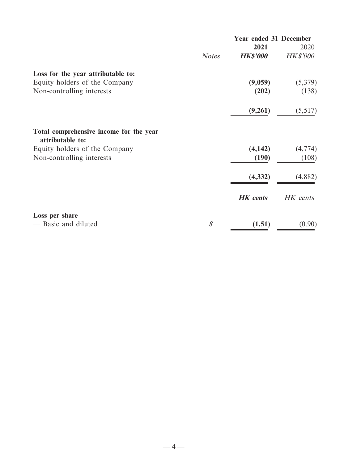|                                                             |              | <b>Year ended 31 December</b> |                 |
|-------------------------------------------------------------|--------------|-------------------------------|-----------------|
|                                                             |              | 2021                          | 2020            |
|                                                             | <b>Notes</b> | <b>HK\$'000</b>               | <b>HK\$'000</b> |
| Loss for the year attributable to:                          |              |                               |                 |
| Equity holders of the Company                               |              | (9,059)                       | (5,379)         |
| Non-controlling interests                                   |              | (202)                         | (138)           |
|                                                             |              | (9,261)                       | (5,517)         |
| Total comprehensive income for the year<br>attributable to: |              |                               |                 |
| Equity holders of the Company                               |              | (4, 142)                      | (4,774)         |
| Non-controlling interests                                   |              | (190)                         | (108)           |
|                                                             |              | (4, 332)                      | (4,882)         |
|                                                             |              | <b>HK</b> cents               | HK cents        |
| Loss per share                                              |              |                               |                 |
| - Basic and diluted                                         | 8            | (1.51)                        | (0.90)          |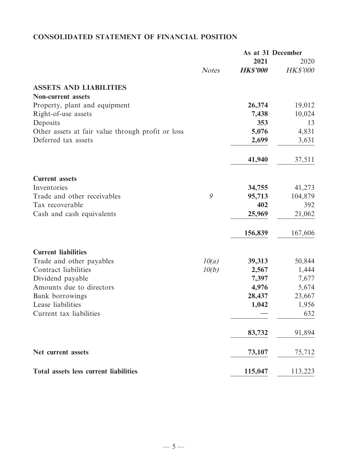# **CONSOLIDATED STATEMENT OF FINANCIAL POSITION**

|                                                   |              | As at 31 December |                 |
|---------------------------------------------------|--------------|-------------------|-----------------|
|                                                   |              | 2021              | 2020            |
|                                                   | <b>Notes</b> | <b>HK\$'000</b>   | <b>HK\$'000</b> |
| <b>ASSETS AND LIABILITIES</b>                     |              |                   |                 |
| <b>Non-current assets</b>                         |              |                   |                 |
| Property, plant and equipment                     |              | 26,374            | 19,012          |
| Right-of-use assets                               |              | 7,438             | 10,024          |
| Deposits                                          |              | 353               | 13              |
| Other assets at fair value through profit or loss |              | 5,076             | 4,831           |
| Deferred tax assets                               |              | 2,699             | 3,631           |
|                                                   |              | 41,940            | 37,511          |
| <b>Current assets</b>                             |              |                   |                 |
| Inventories                                       |              | 34,755            | 41,273          |
| Trade and other receivables                       | 9            | 95,713            | 104,879         |
| Tax recoverable                                   |              | 402               | 392             |
| Cash and cash equivalents                         |              | 25,969            | 21,062          |
|                                                   |              | 156,839           | 167,606         |
| <b>Current liabilities</b>                        |              |                   |                 |
| Trade and other payables                          | 10(a)        | 39,313            | 50,844          |
| Contract liabilities                              | 10(b)        | 2,567             | 1,444           |
| Dividend payable                                  |              | 7,397             | 7,677           |
| Amounts due to directors                          |              | 4,976             | 5,674           |
| Bank borrowings                                   |              | 28,437            | 23,667          |
| Lease liabilities                                 |              | 1,042             | 1,956           |
| Current tax liabilities                           |              |                   | 632             |
|                                                   |              | 83,732            | 91,894          |
| Net current assets                                |              | 73,107            | 75,712          |
| <b>Total assets less current liabilities</b>      |              | 115,047           | 113,223         |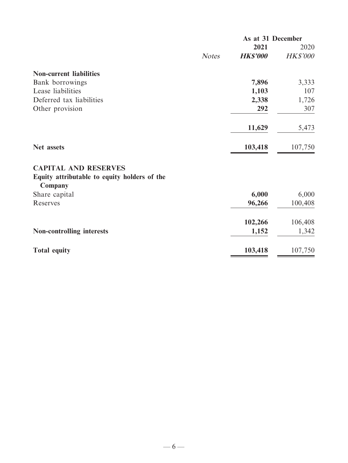|                                                         |              | As at 31 December |          |
|---------------------------------------------------------|--------------|-------------------|----------|
|                                                         |              | 2021              | 2020     |
|                                                         | <b>Notes</b> | <b>HK\$'000</b>   | HK\$'000 |
| <b>Non-current liabilities</b>                          |              |                   |          |
| Bank borrowings                                         |              | 7,896             | 3,333    |
| Lease liabilities                                       |              | 1,103             | 107      |
| Deferred tax liabilities                                |              | 2,338             | 1,726    |
| Other provision                                         |              | 292               | 307      |
|                                                         |              | 11,629            | 5,473    |
| Net assets                                              |              | 103,418           | 107,750  |
| <b>CAPITAL AND RESERVES</b>                             |              |                   |          |
| Equity attributable to equity holders of the<br>Company |              |                   |          |
| Share capital                                           |              | 6,000             | 6,000    |
| Reserves                                                |              | 96,266            | 100,408  |
|                                                         |              | 102,266           | 106,408  |
| <b>Non-controlling interests</b>                        |              | 1,152             | 1,342    |
| <b>Total equity</b>                                     |              | 103,418           | 107,750  |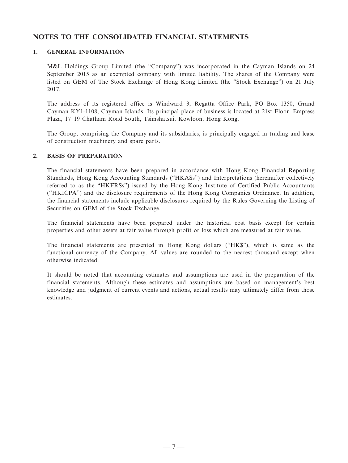## **NOTES TO THE CONSOLIDATED FINANCIAL STATEMENTS**

### **1. GENERAL INFORMATION**

M&L Holdings Group Limited (the "Company") was incorporated in the Cayman Islands on 24 September 2015 as an exempted company with limited liability. The shares of the Company were listed on GEM of The Stock Exchange of Hong Kong Limited (the "Stock Exchange") on 21 July 2017.

The address of its registered office is Windward 3, Regatta Office Park, PO Box 1350, Grand Cayman KY1-1108, Cayman Islands. Its principal place of business is located at 21st Floor, Empress Plaza, 17–19 Chatham Road South, Tsimshatsui, Kowloon, Hong Kong.

The Group, comprising the Company and its subsidiaries, is principally engaged in trading and lease of construction machinery and spare parts.

### **2. BASIS OF PREPARATION**

The financial statements have been prepared in accordance with Hong Kong Financial Reporting Standards, Hong Kong Accounting Standards ("HKASs") and Interpretations (hereinafter collectively referred to as the "HKFRSs") issued by the Hong Kong Institute of Certified Public Accountants ("HKICPA") and the disclosure requirements of the Hong Kong Companies Ordinance. In addition, the financial statements include applicable disclosures required by the Rules Governing the Listing of Securities on GEM of the Stock Exchange.

The financial statements have been prepared under the historical cost basis except for certain properties and other assets at fair value through profit or loss which are measured at fair value.

The financial statements are presented in Hong Kong dollars ("HK\$"), which is same as the functional currency of the Company. All values are rounded to the nearest thousand except when otherwise indicated.

It should be noted that accounting estimates and assumptions are used in the preparation of the financial statements. Although these estimates and assumptions are based on management's best knowledge and judgment of current events and actions, actual results may ultimately differ from those estimates.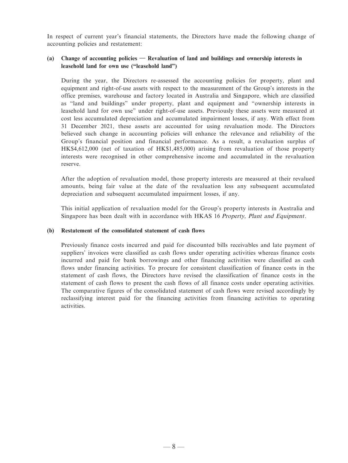In respect of current year's financial statements, the Directors have made the following change of accounting policies and restatement:

### **(a) Change of accounting policies — Revaluation of land and buildings and ownership interests in leasehold land for own use ("leasehold land")**

During the year, the Directors re-assessed the accounting policies for property, plant and equipment and right-of-use assets with respect to the measurement of the Group's interests in the office premises, warehouse and factory located in Australia and Singapore, which are classified as "land and buildings" under property, plant and equipment and "ownership interests in leasehold land for own use" under right-of-use assets. Previously these assets were measured at cost less accumulated depreciation and accumulated impairment losses, if any. With effect from 31 December 2021, these assets are accounted for using revaluation mode. The Directors believed such change in accounting policies will enhance the relevance and reliability of the Group's financial position and financial performance. As a result, a revaluation surplus of HK\$4,612,000 (net of taxation of HK\$1,485,000) arising from revaluation of those property interests were recognised in other comprehensive income and accumulated in the revaluation reserve.

After the adoption of revaluation model, those property interests are measured at their revalued amounts, being fair value at the date of the revaluation less any subsequent accumulated depreciation and subsequent accumulated impairment losses, if any.

This initial application of revaluation model for the Group's property interests in Australia and Singapore has been dealt with in accordance with HKAS 16 Property, Plant and Equipment.

#### **(b) Restatement of the consolidated statement of cash flows**

Previously finance costs incurred and paid for discounted bills receivables and late payment of suppliers' invoices were classified as cash flows under operating activities whereas finance costs incurred and paid for bank borrowings and other financing activities were classified as cash flows under financing activities. To procure for consistent classification of finance costs in the statement of cash flows, the Directors have revised the classification of finance costs in the statement of cash flows to present the cash flows of all finance costs under operating activities. The comparative figures of the consolidated statement of cash flows were revised accordingly by reclassifying interest paid for the financing activities from financing activities to operating activities.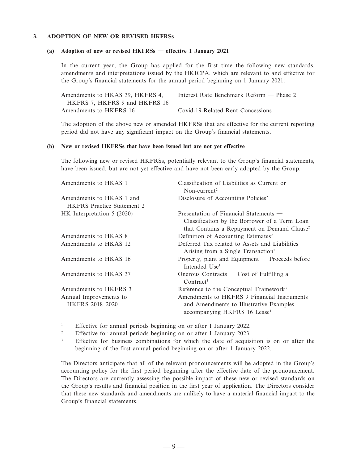#### **3. ADOPTION OF NEW OR REVISED HKFRSs**

#### **(a) Adoption of new or revised HKFRSs — effective 1 January 2021**

In the current year, the Group has applied for the first time the following new standards, amendments and interpretations issued by the HKICPA, which are relevant to and effective for the Group's financial statements for the annual period beginning on 1 January 2021:

| Amendments to HKAS 39, HKFRS 4, | Interest Rate Benchmark Reform $-$ Phase 2 |
|---------------------------------|--------------------------------------------|
| HKFRS 7, HKFRS 9 and HKFRS 16   |                                            |
| Amendments to HKFRS 16          | Covid-19-Related Rent Concessions          |

The adoption of the above new or amended HKFRSs that are effective for the current reporting period did not have any significant impact on the Group's financial statements.

#### **(b) New or revised HKFRSs that have been issued but are not yet effective**

The following new or revised HKFRSs, potentially relevant to the Group's financial statements, have been issued, but are not yet effective and have not been early adopted by the Group.

| Amendments to HKAS 1              | Classification of Liabilities as Current or             |
|-----------------------------------|---------------------------------------------------------|
|                                   | Non-current <sup>2</sup>                                |
| Amendments to HKAS 1 and          | Disclosure of Accounting Policies <sup>2</sup>          |
| <b>HKFRS</b> Practice Statement 2 |                                                         |
| HK Interpretation 5 (2020)        | Presentation of Financial Statements $-$                |
|                                   | Classification by the Borrower of a Term Loan           |
|                                   | that Contains a Repayment on Demand Clause <sup>2</sup> |
| Amendments to HKAS 8              | Definition of Accounting Estimates <sup>2</sup>         |
| Amendments to HKAS 12             | Deferred Tax related to Assets and Liabilities          |
|                                   | Arising from a Single Transaction <sup>2</sup>          |
| Amendments to HKAS 16             | Property, plant and Equipment — Proceeds before         |
|                                   | Intended Use <sup>1</sup>                               |
| Amendments to HKAS 37             | Onerous Contracts $\sim$ Cost of Fulfilling a           |
|                                   | Contract <sup>1</sup>                                   |
| Amendments to HKFRS 3             | Reference to the Conceptual Framework <sup>3</sup>      |
| Annual Improvements to            | Amendments to HKFRS 9 Financial Instruments             |
| HKFRS 2018-2020                   | and Amendments to Illustrative Examples                 |
|                                   | accompanying HKFRS 16 Lease <sup>1</sup>                |

<sup>1</sup> Effective for annual periods beginning on or after 1 January 2022.

<sup>2</sup> Effective for annual periods beginning on or after 1 January 2023.

3 Effective for business combinations for which the date of acquisition is on or after the beginning of the first annual period beginning on or after 1 January 2022.

The Directors anticipate that all of the relevant pronouncements will be adopted in the Group's accounting policy for the first period beginning after the effective date of the pronouncement. The Directors are currently assessing the possible impact of these new or revised standards on the Group's results and financial position in the first year of application. The Directors consider that these new standards and amendments are unlikely to have a material financial impact to the Group's financial statements.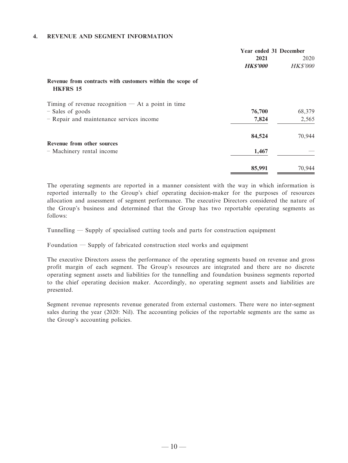### **4. REVENUE AND SEGMENT INFORMATION**

|                                                                              | Year ended 31 December<br>2021<br><b>HKS'000</b> | 2020<br><b>HK\$'000</b> |
|------------------------------------------------------------------------------|--------------------------------------------------|-------------------------|
| Revenue from contracts with customers within the scope of<br><b>HKFRS 15</b> |                                                  |                         |
| Timing of revenue recognition $-$ At a point in time                         |                                                  |                         |
| - Sales of goods                                                             | 76,700                                           | 68,379                  |
| - Repair and maintenance services income                                     | 7,824                                            | 2,565                   |
|                                                                              | 84,524                                           | 70,944                  |
| Revenue from other sources<br>- Machinery rental income                      | 1,467                                            |                         |
|                                                                              |                                                  |                         |
|                                                                              | 85,991                                           | 70,944                  |

The operating segments are reported in a manner consistent with the way in which information is reported internally to the Group's chief operating decision-maker for the purposes of resources allocation and assessment of segment performance. The executive Directors considered the nature of the Group's business and determined that the Group has two reportable operating segments as follows:

Tunnelling — Supply of specialised cutting tools and parts for construction equipment

Foundation — Supply of fabricated construction steel works and equipment

The executive Directors assess the performance of the operating segments based on revenue and gross profit margin of each segment. The Group's resources are integrated and there are no discrete operating segment assets and liabilities for the tunnelling and foundation business segments reported to the chief operating decision maker. Accordingly, no operating segment assets and liabilities are presented.

Segment revenue represents revenue generated from external customers. There were no inter-segment sales during the year (2020: Nil). The accounting policies of the reportable segments are the same as the Group's accounting policies.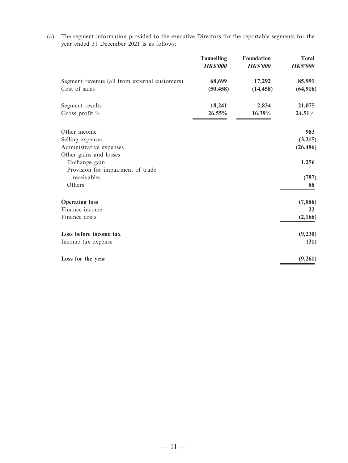(a) The segment information provided to the executive Directors for the reportable segments for the year ended 31 December 2021 is as follows:

|                                               | <b>Tunnelling</b><br><b>HKS'000</b> | Foundation<br><b>HKS'000</b> | <b>Total</b><br><b>HK\$'000</b> |
|-----------------------------------------------|-------------------------------------|------------------------------|---------------------------------|
| Segment revenue (all from external customers) | 68,699                              | 17,292                       | 85,991                          |
| Cost of sales                                 | (50, 458)                           | (14, 458)                    | (64, 916)                       |
| Segment results                               | 18,241                              | 2,834                        | 21,075                          |
| Gross profit %                                | 26.55%                              | 16.39%                       | 24.51%                          |
| Other income                                  |                                     |                              | 983                             |
| Selling expenses                              |                                     |                              | (3,215)                         |
| Administrative expenses                       |                                     |                              | (26, 486)                       |
| Other gains and losses                        |                                     |                              |                                 |
| Exchange gain                                 |                                     |                              | 1,256                           |
| Provision for impairment of trade             |                                     |                              |                                 |
| receivables                                   |                                     |                              | (787)                           |
| Others                                        |                                     |                              | 88                              |
| <b>Operating loss</b>                         |                                     |                              | (7,086)                         |
| Finance income                                |                                     |                              | 22                              |
| Finance costs                                 |                                     |                              | (2,166)                         |
| Loss before income tax                        |                                     |                              | (9,230)                         |
| Income tax expense                            |                                     |                              | (31)                            |
| Loss for the year                             |                                     |                              | (9,261)                         |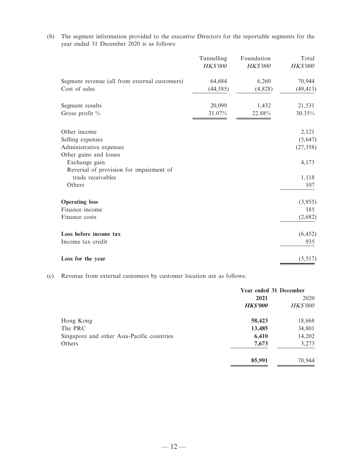(b) The segment information provided to the executive Directors for the reportable segments for the year ended 31 December 2020 is as follows:

|                                                              | Tunnelling<br>HK\$'000 | Foundation<br>HK\$'000 | Total<br>HK\$'000 |
|--------------------------------------------------------------|------------------------|------------------------|-------------------|
| Segment revenue (all from external customers)                | 64,684                 | 6,260                  | 70,944            |
| Cost of sales                                                | (44, 585)              | (4,828)                | (49, 413)         |
| Segment results                                              | 20,099                 | 1,432                  | 21,531            |
| Gross profit %                                               | 31.07%                 | 22.88%                 | 30.35%            |
| Other income                                                 |                        |                        | 2,121             |
| Selling expenses                                             |                        |                        | (5,647)           |
| Administrative expenses                                      |                        |                        | (27, 358)         |
| Other gains and losses                                       |                        |                        |                   |
| Exchange gain                                                |                        |                        | 4,173             |
| Reversal of provision for impairment of<br>trade receivables |                        |                        | 1,118             |
| Others                                                       |                        |                        | 107               |
|                                                              |                        |                        |                   |
| <b>Operating loss</b>                                        |                        |                        | (3,955)           |
| Finance income                                               |                        |                        | 185               |
| Finance costs                                                |                        |                        | (2,682)           |
| Loss before income tax                                       |                        |                        | (6, 452)          |
| Income tax credit                                            |                        |                        | 935               |
| Loss for the year                                            |                        |                        | (5,517)           |

(c) Revenue from external customers by customer location are as follows:

|                                            | Year ended 31 December |                 |
|--------------------------------------------|------------------------|-----------------|
|                                            | 2021                   | 2020            |
|                                            | <b>HK\$'000</b>        | <b>HK\$'000</b> |
| Hong Kong                                  | 58,423                 | 18,668          |
| The PRC                                    | 13,485                 | 34,801          |
| Singapore and other Asia-Pacific countries | 6,410                  | 14,202          |
| Others                                     | 7,673                  | 3,273           |
|                                            | 85,991                 | 70,944          |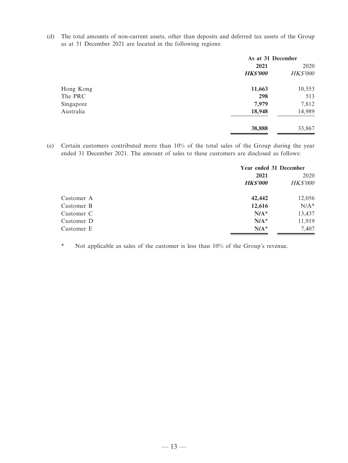(d) The total amounts of non-current assets, other than deposits and deferred tax assets of the Group as at 31 December 2021 are located in the following regions:

|           | As at 31 December |                 |
|-----------|-------------------|-----------------|
|           | 2021              | 2020            |
|           | <b>HK\$'000</b>   | <b>HK\$'000</b> |
| Hong Kong | 11,663            | 10,553          |
| The PRC   | 298               | 513             |
| Singapore | 7,979             | 7,812           |
| Australia | 18,948            | 14,989          |
|           | 38,888            | 33,867          |
|           |                   |                 |

(e) Certain customers contributed more than 10% of the total sales of the Group during the year ended 31 December 2021. The amount of sales to these customers are disclosed as follows:

|            | Year ended 31 December |                 |
|------------|------------------------|-----------------|
|            | 2021                   | 2020            |
|            | <b>HKS'000</b>         | <b>HK\$'000</b> |
| Customer A | 42,442                 | 12,056          |
| Customer B | 12,616                 | $N/A^*$         |
| Customer C | $N/A^*$                | 13,437          |
| Customer D | $N/A^*$                | 11,919          |
| Customer E | $N/A^*$                | 7,407           |

\* Not applicable as sales of the customer is less than 10% of the Group's revenue.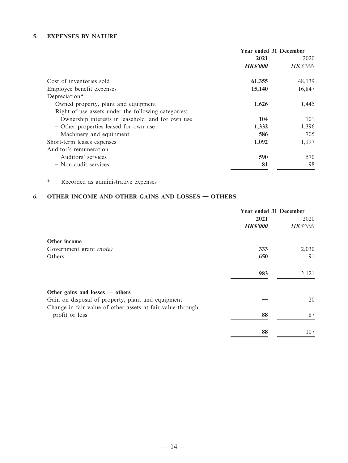### **5. EXPENSES BY NATURE**

|                                                     | <b>Year ended 31 December</b> |                 |
|-----------------------------------------------------|-------------------------------|-----------------|
|                                                     | 2021                          | 2020            |
|                                                     | <b>HK\$'000</b>               | <b>HK\$'000</b> |
| Cost of inventories sold                            | 61,355                        | 48,139          |
| Employee benefit expenses                           | 15,140                        | 16,847          |
| Depreciation*                                       |                               |                 |
| Owned property, plant and equipment                 | 1,626                         | 1,445           |
| Right-of-use assets under the following categories: |                               |                 |
| - Ownership interests in leasehold land for own use | 104                           | 101             |
| - Other properties leased for own use               | 1,332                         | 1,396           |
| - Machinery and equipment                           | 586                           | 705             |
| Short-term leases expenses                          | 1,092                         | 1,197           |
| Auditor's remuneration                              |                               |                 |
| - Auditors' services                                | 590                           | 570             |
| - Non-audit services                                | 81                            | 98              |

\* Recorded as administrative expenses

# **6. OTHER INCOME AND OTHER GAINS AND LOSSES — OTHERS**

|                                                                              | Year ended 31 December |                 |
|------------------------------------------------------------------------------|------------------------|-----------------|
|                                                                              | 2021                   | 2020            |
|                                                                              | <b>HK\$'000</b>        | <b>HK\$'000</b> |
| Other income                                                                 |                        |                 |
| Government grant (note)                                                      | 333                    | 2,030           |
| Others                                                                       | 650                    | 91              |
|                                                                              | 983                    | 2,121           |
| Other gains and losses $-$ others                                            |                        |                 |
| Gain on disposal of property, plant and equipment                            |                        | 20              |
| Change in fair value of other assets at fair value through<br>profit or loss | 88                     | 87              |
|                                                                              | 88                     | 107             |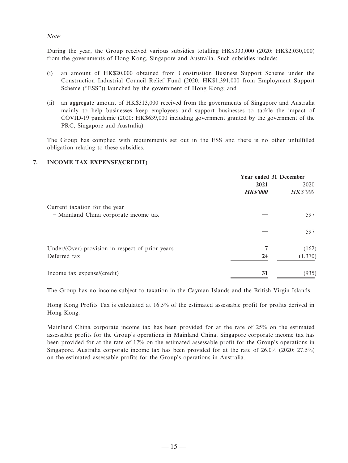#### Note:

During the year, the Group received various subsidies totalling HK\$333,000 (2020: HK\$2,030,000) from the governments of Hong Kong, Singapore and Australia. Such subsidies include:

- (i) an amount of HK\$20,000 obtained from Construstion Business Support Scheme under the Construction Industrial Council Relief Fund (2020: HK\$1,391,000 from Employment Support Scheme ("ESS")) launched by the government of Hong Kong; and
- (ii) an aggregate amount of HK\$313,000 received from the governments of Singapore and Australia mainly to help businesses keep employees and support businesses to tackle the impact of COVID-19 pandemic (2020: HK\$639,000 including government granted by the government of the PRC, Singapore and Australia).

The Group has complied with requirements set out in the ESS and there is no other unfulfilled obligation relating to these subsidies.

### **7. INCOME TAX EXPENSE/(CREDIT)**

|                                                  | Year ended 31 December |                 |
|--------------------------------------------------|------------------------|-----------------|
|                                                  | 2021                   | 2020            |
|                                                  | <b>HK\$'000</b>        | <b>HK\$'000</b> |
| Current taxation for the year                    |                        |                 |
| - Mainland China corporate income tax            |                        | 597             |
|                                                  |                        | 597             |
| Under/(Over)-provision in respect of prior years | 7                      | (162)           |
| Deferred tax                                     | 24                     | (1,370)         |
| Income tax expense/(credit)                      | 31                     | (935)           |

The Group has no income subject to taxation in the Cayman Islands and the British Virgin Islands.

Hong Kong Profits Tax is calculated at 16.5% of the estimated assessable profit for profits derived in Hong Kong.

Mainland China corporate income tax has been provided for at the rate of 25% on the estimated assessable profits for the Group's operations in Mainland China. Singapore corporate income tax has been provided for at the rate of 17% on the estimated assessable profit for the Group's operations in Singapore. Australia corporate income tax has been provided for at the rate of 26.0% (2020: 27.5%) on the estimated assessable profits for the Group's operations in Australia.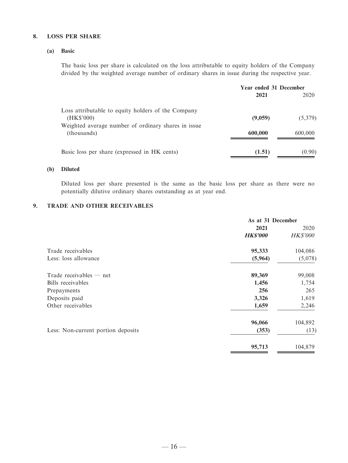### **8. LOSS PER SHARE**

### **(a) Basic**

The basic loss per share is calculated on the loss attributable to equity holders of the Company divided by the weighted average number of ordinary shares in issue during the respective year.

|                                                     | Year ended 31 December |         |
|-----------------------------------------------------|------------------------|---------|
|                                                     | 2021                   | 2020    |
| Loss attributable to equity holders of the Company  |                        |         |
| (HK\$'000)                                          | (9,059)                | (5,379) |
| Weighted average number of ordinary shares in issue |                        |         |
| (thousands)                                         | 600,000                | 600,000 |
| Basic loss per share (expressed in HK cents)        | (1.51)                 | (0.90)  |

### **(b) Diluted**

Diluted loss per share presented is the same as the basic loss per share as there were no potentially dilutive ordinary shares outstanding as at year end.

### **9. TRADE AND OTHER RECEIVABLES**

|                                    | As at 31 December |                 |
|------------------------------------|-------------------|-----------------|
|                                    | 2021              | 2020            |
|                                    | <b>HK\$'000</b>   | <b>HK\$'000</b> |
| Trade receivables                  | 95,333            | 104,086         |
| Less: loss allowance               | (5,964)           | (5,078)         |
| Trade receivables $-$ net          | 89,369            | 99,008          |
| Bills receivables                  | 1,456             | 1,754           |
| Prepayments                        | 256               | 265             |
| Deposits paid                      | 3,326             | 1,619           |
| Other receivables                  | 1,659             | 2,246           |
|                                    | 96,066            | 104,892         |
| Less: Non-current portion deposits | (353)             | (13)            |
|                                    | 95,713            | 104,879         |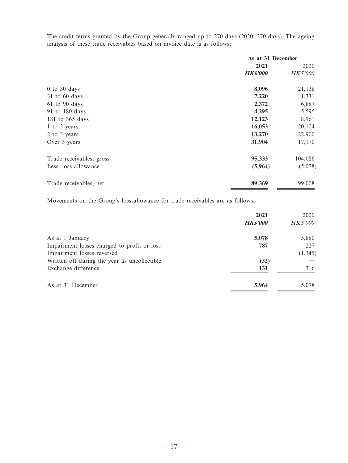The credit terms granted by the Group generally ranged up to 270 days (2020: 270 days). The ageing analysis of these trade receivables based on invoice date is as follows:

|                          | As at 31 December |                 |
|--------------------------|-------------------|-----------------|
|                          | 2021              | 2020            |
|                          | <b>HK\$'000</b>   | <b>HK\$'000</b> |
| $0$ to $30$ days         | 8,096             | 21,138          |
| $31$ to 60 days          | 7,220             | 1,331           |
| $61$ to $90$ days        | 2,372             | 6,887           |
| 91 to 180 days           | 4,295             | 5,595           |
| 181 to 365 days          | 12,123            | 8,961           |
| 1 to 2 years             | 16,053            | 20,104          |
| 2 to 3 years             | 13,270            | 22,900          |
| Over 3 years             | 31,904            | 17,170          |
| Trade receivables, gross | 95,333            | 104,086         |
| Less: loss allowance     | (5,964)           | (5,078)         |
| Trade receivables, net   | 89,369            | 99,008          |

Movements on the Group's loss allowance for trade receivables are as follows:

|                                              | 2021           | 2020            |
|----------------------------------------------|----------------|-----------------|
|                                              | <b>HKS'000</b> | <b>HK\$'000</b> |
| As at 1 January                              | 5,078          | 5,880           |
| Impairment losses charged to profit or loss  | 787            | 227             |
| Impairment losses reversed                   |                | (1, 345)        |
| Written off during the year as uncollectible | (32)           |                 |
| Exchange difference                          | 131            | 316             |
| As at 31 December                            | 5,964          | 5,078           |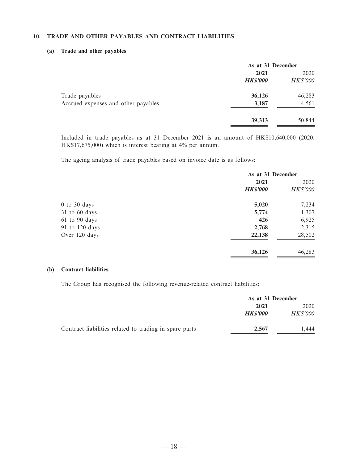### **10. TRADE AND OTHER PAYABLES AND CONTRACT LIABILITIES**

#### **(a) Trade and other payables**

|                                     | As at 31 December |                 |
|-------------------------------------|-------------------|-----------------|
|                                     | 2021              | 2020            |
|                                     | <b>HK\$'000</b>   | <b>HK\$'000</b> |
| Trade payables                      | 36,126            | 46,283          |
| Accrued expenses and other payables | 3,187             | 4,561           |
|                                     | 39,313            | 50,844          |

Included in trade payables as at 31 December 2021 is an amount of HK\$10,640,000 (2020: HK\$17,675,000) which is interest bearing at 4% per annum.

The ageing analysis of trade payables based on invoice date is as follows:

|                | As at 31 December |                 |
|----------------|-------------------|-----------------|
|                | 2021              | 2020            |
|                | <b>HK\$'000</b>   | <b>HK\$'000</b> |
| 0 to 30 days   | 5,020             | 7,234           |
| 31 to 60 days  | 5,774             | 1,307           |
| 61 to 90 days  | 426               | 6,925           |
| 91 to 120 days | 2,768             | 2,315           |
| Over 120 days  | 22,138            | 28,502          |
|                | 36,126            | 46,283          |

### **(b) Contract liabilities**

The Group has recognised the following revenue-related contract liabilities:

|                                                        | As at 31 December |                 |
|--------------------------------------------------------|-------------------|-----------------|
|                                                        | 2021              | 2020            |
|                                                        | <b>HKS'000</b>    | <i>HK\$'000</i> |
| Contract liabilities related to trading in spare parts | 2.567             | .444            |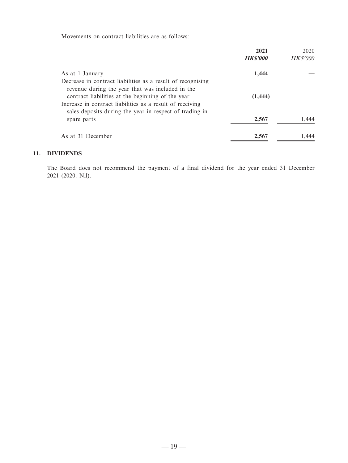Movements on contract liabilities are as follows:

|                                                             | 2021           | 2020            |
|-------------------------------------------------------------|----------------|-----------------|
|                                                             | <b>HKS'000</b> | <b>HK\$'000</b> |
| As at 1 January                                             | 1,444          |                 |
| Decrease in contract liabilities as a result of recognising |                |                 |
| revenue during the year that was included in the            |                |                 |
| contract liabilities at the beginning of the year           | (1, 444)       |                 |
| Increase in contract liabilities as a result of receiving   |                |                 |
| sales deposits during the year in respect of trading in     |                |                 |
| spare parts                                                 | 2,567          | 1.444           |
| As at 31 December                                           | 2,567          | 1.444           |

#### **11. DIVIDENDS**

The Board does not recommend the payment of a final dividend for the year ended 31 December 2021 (2020: Nil).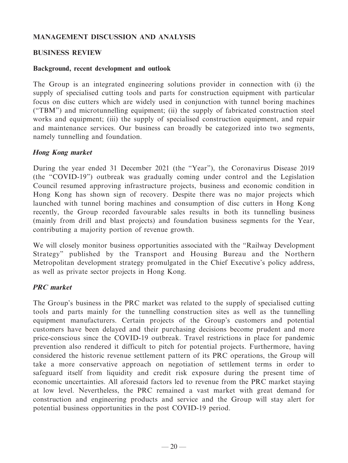## **MANAGEMENT DISCUSSION AND ANALYSIS**

## **BUSINESS REVIEW**

## **Background, recent development and outlook**

The Group is an integrated engineering solutions provider in connection with (i) the supply of specialised cutting tools and parts for construction equipment with particular focus on disc cutters which are widely used in conjunction with tunnel boring machines ("TBM") and microtunnelling equipment; (ii) the supply of fabricated construction steel works and equipment; (iii) the supply of specialised construction equipment, and repair and maintenance services. Our business can broadly be categorized into two segments, namely tunnelling and foundation.

## **Hong Kong market**

During the year ended 31 December 2021 (the "Year"), the Coronavirus Disease 2019 (the "COVID-19") outbreak was gradually coming under control and the Legislation Council resumed approving infrastructure projects, business and economic condition in Hong Kong has shown sign of recovery. Despite there was no major projects which launched with tunnel boring machines and consumption of disc cutters in Hong Kong recently, the Group recorded favourable sales results in both its tunnelling business (mainly from drill and blast projects) and foundation business segments for the Year, contributing a majority portion of revenue growth.

We will closely monitor business opportunities associated with the "Railway Development Strategy" published by the Transport and Housing Bureau and the Northern Metropolitan development strategy promulgated in the Chief Executive's policy address, as well as private sector projects in Hong Kong.

## **PRC market**

The Group's business in the PRC market was related to the supply of specialised cutting tools and parts mainly for the tunnelling construction sites as well as the tunnelling equipment manufacturers. Certain projects of the Group's customers and potential customers have been delayed and their purchasing decisions become prudent and more price-conscious since the COVID-19 outbreak. Travel restrictions in place for pandemic prevention also rendered it difficult to pitch for potential projects. Furthermore, having considered the historic revenue settlement pattern of its PRC operations, the Group will take a more conservative approach on negotiation of settlement terms in order to safeguard itself from liquidity and credit risk exposure during the present time of economic uncertainties. All aforesaid factors led to revenue from the PRC market staying at low level. Nevertheless, the PRC remained a vast market with great demand for construction and engineering products and service and the Group will stay alert for potential business opportunities in the post COVID-19 period.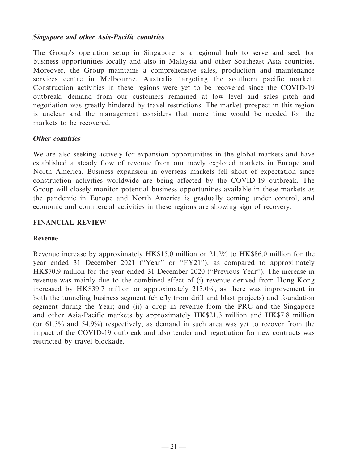## **Singapore and other Asia-Pacific countries**

The Group's operation setup in Singapore is a regional hub to serve and seek for business opportunities locally and also in Malaysia and other Southeast Asia countries. Moreover, the Group maintains a comprehensive sales, production and maintenance services centre in Melbourne, Australia targeting the southern pacific market. Construction activities in these regions were yet to be recovered since the COVID-19 outbreak; demand from our customers remained at low level and sales pitch and negotiation was greatly hindered by travel restrictions. The market prospect in this region is unclear and the management considers that more time would be needed for the markets to be recovered.

## **Other countries**

We are also seeking actively for expansion opportunities in the global markets and have established a steady flow of revenue from our newly explored markets in Europe and North America. Business expansion in overseas markets fell short of expectation since construction activities worldwide are being affected by the COVID-19 outbreak. The Group will closely monitor potential business opportunities available in these markets as the pandemic in Europe and North America is gradually coming under control, and economic and commercial activities in these regions are showing sign of recovery.

## **FINANCIAL REVIEW**

## **Revenue**

Revenue increase by approximately HK\$15.0 million or 21.2% to HK\$86.0 million for the year ended 31 December 2021 ("Year" or "FY21"), as compared to approximately HK\$70.9 million for the year ended 31 December 2020 ("Previous Year"). The increase in revenue was mainly due to the combined effect of (i) revenue derived from Hong Kong increased by HK\$39.7 million or approximately 213.0%, as there was improvement in both the tunneling business segment (chiefly from drill and blast projects) and foundation segment during the Year; and (ii) a drop in revenue from the PRC and the Singapore and other Asia-Pacific markets by approximately HK\$21.3 million and HK\$7.8 million (or 61.3% and 54.9%) respectively, as demand in such area was yet to recover from the impact of the COVID-19 outbreak and also tender and negotiation for new contracts was restricted by travel blockade.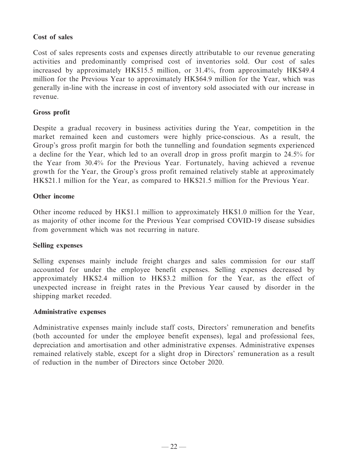## **Cost of sales**

Cost of sales represents costs and expenses directly attributable to our revenue generating activities and predominantly comprised cost of inventories sold. Our cost of sales increased by approximately HK\$15.5 million, or 31.4%, from approximately HK\$49.4 million for the Previous Year to approximately HK\$64.9 million for the Year, which was generally in-line with the increase in cost of inventory sold associated with our increase in revenue.

## **Gross profit**

Despite a gradual recovery in business activities during the Year, competition in the market remained keen and customers were highly price-conscious. As a result, the Group's gross profit margin for both the tunnelling and foundation segments experienced a decline for the Year, which led to an overall drop in gross profit margin to 24.5% for the Year from 30.4% for the Previous Year. Fortunately, having achieved a revenue growth for the Year, the Group's gross profit remained relatively stable at approximately HK\$21.1 million for the Year, as compared to HK\$21.5 million for the Previous Year.

## **Other income**

Other income reduced by HK\$1.1 million to approximately HK\$1.0 million for the Year, as majority of other income for the Previous Year comprised COVID-19 disease subsidies from government which was not recurring in nature.

## **Selling expenses**

Selling expenses mainly include freight charges and sales commission for our staff accounted for under the employee benefit expenses. Selling expenses decreased by approximately HK\$2.4 million to HK\$3.2 million for the Year, as the effect of unexpected increase in freight rates in the Previous Year caused by disorder in the shipping market receded.

## **Administrative expenses**

Administrative expenses mainly include staff costs, Directors' remuneration and benefits (both accounted for under the employee benefit expenses), legal and professional fees, depreciation and amortisation and other administrative expenses. Administrative expenses remained relatively stable, except for a slight drop in Directors' remuneration as a result of reduction in the number of Directors since October 2020.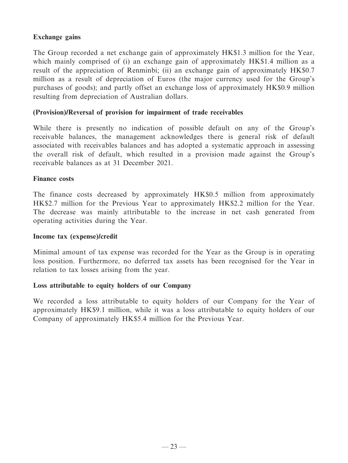## **Exchange gains**

The Group recorded a net exchange gain of approximately HK\$1.3 million for the Year, which mainly comprised of (i) an exchange gain of approximately HK\$1.4 million as a result of the appreciation of Renminbi; (ii) an exchange gain of approximately HK\$0.7 million as a result of depreciation of Euros (the major currency used for the Group's purchases of goods); and partly offset an exchange loss of approximately HK\$0.9 million resulting from depreciation of Australian dollars.

## **(Provision)/Reversal of provision for impairment of trade receivables**

While there is presently no indication of possible default on any of the Group's receivable balances, the management acknowledges there is general risk of default associated with receivables balances and has adopted a systematic approach in assessing the overall risk of default, which resulted in a provision made against the Group's receivable balances as at 31 December 2021.

## **Finance costs**

The finance costs decreased by approximately HK\$0.5 million from approximately HK\$2.7 million for the Previous Year to approximately HK\$2.2 million for the Year. The decrease was mainly attributable to the increase in net cash generated from operating activities during the Year.

## **Income tax (expense)/credit**

Minimal amount of tax expense was recorded for the Year as the Group is in operating loss position. Furthermore, no deferred tax assets has been recognised for the Year in relation to tax losses arising from the year.

## **Loss attributable to equity holders of our Company**

We recorded a loss attributable to equity holders of our Company for the Year of approximately HK\$9.1 million, while it was a loss attributable to equity holders of our Company of approximately HK\$5.4 million for the Previous Year.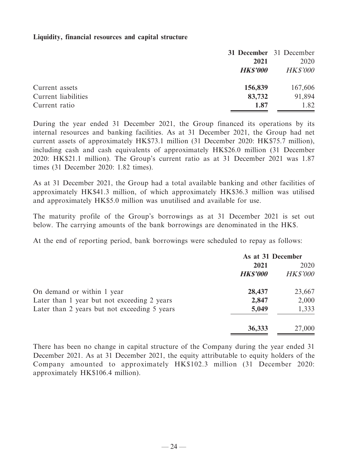## **Liquidity, financial resources and capital structure**

|                     |                 | 31 December 31 December |
|---------------------|-----------------|-------------------------|
|                     | 2021            | 2020                    |
|                     | <b>HK\$'000</b> | <b>HK\$'000</b>         |
| Current assets      | 156,839         | 167,606                 |
| Current liabilities | 83,732          | 91,894                  |
| Current ratio       | 1.87            | 1.82                    |

During the year ended 31 December 2021, the Group financed its operations by its internal resources and banking facilities. As at 31 December 2021, the Group had net current assets of approximately HK\$73.1 million (31 December 2020: HK\$75.7 million), including cash and cash equivalents of approximately HK\$26.0 million (31 December 2020: HK\$21.1 million). The Group's current ratio as at 31 December 2021 was 1.87 times (31 December 2020: 1.82 times).

As at 31 December 2021, the Group had a total available banking and other facilities of approximately HK\$41.3 million, of which approximately HK\$36.3 million was utilised and approximately HK\$5.0 million was unutilised and available for use.

The maturity profile of the Group's borrowings as at 31 December 2021 is set out below. The carrying amounts of the bank borrowings are denominated in the HK\$.

At the end of reporting period, bank borrowings were scheduled to repay as follows:

|                                              | As at 31 December |                 |  |
|----------------------------------------------|-------------------|-----------------|--|
|                                              | 2021              | 2020            |  |
|                                              | <b>HK\$'000</b>   | <b>HK\$'000</b> |  |
| On demand or within 1 year                   | 28,437            | 23,667          |  |
| Later than 1 year but not exceeding 2 years  | 2,847             | 2,000           |  |
| Later than 2 years but not exceeding 5 years | 5,049             | 1,333           |  |
|                                              | 36,333            | 27,000          |  |

There has been no change in capital structure of the Company during the year ended 31 December 2021. As at 31 December 2021, the equity attributable to equity holders of the Company amounted to approximately HK\$102.3 million (31 December 2020: approximately HK\$106.4 million).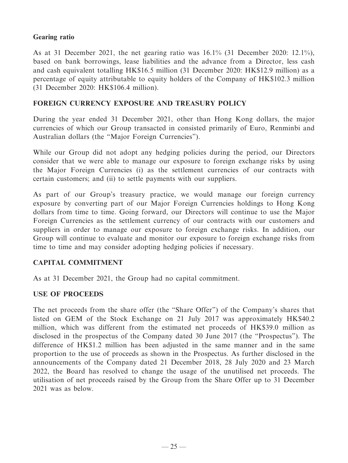## **Gearing ratio**

As at 31 December 2021, the net gearing ratio was 16.1% (31 December 2020: 12.1%), based on bank borrowings, lease liabilities and the advance from a Director, less cash and cash equivalent totalling HK\$16.5 million (31 December 2020: HK\$12.9 million) as a percentage of equity attributable to equity holders of the Company of HK\$102.3 million (31 December 2020: HK\$106.4 million).

## **FOREIGN CURRENCY EXPOSURE AND TREASURY POLICY**

During the year ended 31 December 2021, other than Hong Kong dollars, the major currencies of which our Group transacted in consisted primarily of Euro, Renminbi and Australian dollars (the "Major Foreign Currencies").

While our Group did not adopt any hedging policies during the period, our Directors consider that we were able to manage our exposure to foreign exchange risks by using the Major Foreign Currencies (i) as the settlement currencies of our contracts with certain customers; and (ii) to settle payments with our suppliers.

As part of our Group's treasury practice, we would manage our foreign currency exposure by converting part of our Major Foreign Currencies holdings to Hong Kong dollars from time to time. Going forward, our Directors will continue to use the Major Foreign Currencies as the settlement currency of our contracts with our customers and suppliers in order to manage our exposure to foreign exchange risks. In addition, our Group will continue to evaluate and monitor our exposure to foreign exchange risks from time to time and may consider adopting hedging policies if necessary.

## **CAPITAL COMMITMENT**

As at 31 December 2021, the Group had no capital commitment.

## **USE OF PROCEEDS**

The net proceeds from the share offer (the "Share Offer") of the Company's shares that listed on GEM of the Stock Exchange on 21 July 2017 was approximately HK\$40.2 million, which was different from the estimated net proceeds of HK\$39.0 million as disclosed in the prospectus of the Company dated 30 June 2017 (the "Prospectus"). The difference of HK\$1.2 million has been adjusted in the same manner and in the same proportion to the use of proceeds as shown in the Prospectus. As further disclosed in the announcements of the Company dated 21 December 2018, 28 July 2020 and 23 March 2022, the Board has resolved to change the usage of the unutilised net proceeds. The utilisation of net proceeds raised by the Group from the Share Offer up to 31 December 2021 was as below.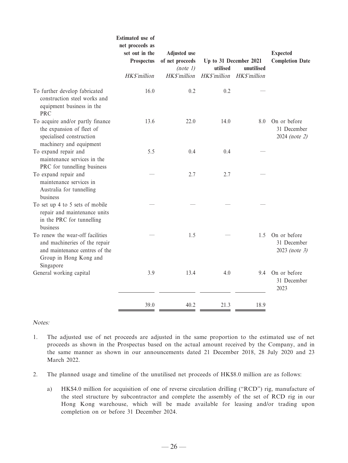|                                                                                                                                            | <b>Estimated</b> use of<br>net proceeds as<br>set out in the<br>Prospectus<br>HK\$'million | <b>Adjusted</b> use<br>of net proceeds<br>(note 1) | utilised     | Up to 31 December 2021<br>unutilised | <b>Expected</b><br><b>Completion Date</b>    |
|--------------------------------------------------------------------------------------------------------------------------------------------|--------------------------------------------------------------------------------------------|----------------------------------------------------|--------------|--------------------------------------|----------------------------------------------|
|                                                                                                                                            |                                                                                            | HK\$'million                                       | HK\$'million | HK\$'million                         |                                              |
| To further develop fabricated<br>construction steel works and<br>equipment business in the<br><b>PRC</b>                                   | 16.0                                                                                       | 0.2                                                | 0.2          |                                      |                                              |
| To acquire and/or partly finance<br>the expansion of fleet of<br>specialised construction<br>machinery and equipment                       | 13.6                                                                                       | 22.0                                               | 14.0         | 8.0                                  | On or before<br>31 December<br>2024 (note 2) |
| To expand repair and<br>maintenance services in the<br>PRC for tunnelling business                                                         | 5.5                                                                                        | 0.4                                                | 0.4          |                                      |                                              |
| To expand repair and<br>maintenance services in<br>Australia for tunnelling<br>business                                                    |                                                                                            | 2.7                                                | 2.7          |                                      |                                              |
| To set up 4 to 5 sets of mobile<br>repair and maintenance units<br>in the PRC for tunnelling<br>business                                   |                                                                                            |                                                    |              |                                      |                                              |
| To renew the wear-off facilities<br>and machineries of the repair<br>and maintenance centres of the<br>Group in Hong Kong and<br>Singapore |                                                                                            | 1.5                                                |              | 1.5                                  | On or before<br>31 December<br>2023 (note 3) |
| General working capital                                                                                                                    | 3.9                                                                                        | 13.4                                               | 4.0          | 9.4                                  | On or before<br>31 December<br>2023          |
|                                                                                                                                            | 39.0                                                                                       | 40.2                                               | 21.3         | 18.9                                 |                                              |

Notes:

- 1. The adjusted use of net proceeds are adjusted in the same proportion to the estimated use of net proceeds as shown in the Prospectus based on the actual amount received by the Company, and in the same manner as shown in our announcements dated 21 December 2018, 28 July 2020 and 23 March 2022.
- 2. The planned usage and timeline of the unutilised net proceeds of HK\$8.0 million are as follows:
	- a) HK\$4.0 million for acquisition of one of reverse circulation drilling ("RCD") rig, manufacture of the steel structure by subcontractor and complete the assembly of the set of RCD rig in our Hong Kong warehouse, which will be made available for leasing and/or trading upon completion on or before 31 December 2024.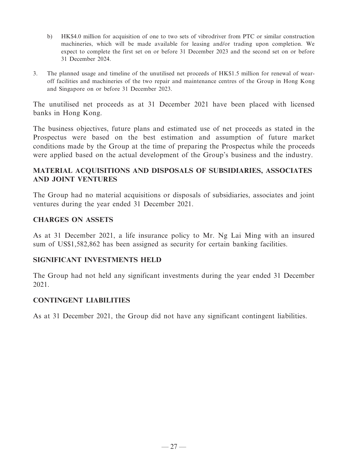- b) HK\$4.0 million for acquisition of one to two sets of vibrodriver from PTC or similar construction machineries, which will be made available for leasing and/or trading upon completion. We expect to complete the first set on or before 31 December 2023 and the second set on or before 31 December 2024.
- 3. The planned usage and timeline of the unutilised net proceeds of HK\$1.5 million for renewal of wearoff facilities and machineries of the two repair and maintenance centres of the Group in Hong Kong and Singapore on or before 31 December 2023.

The unutilised net proceeds as at 31 December 2021 have been placed with licensed banks in Hong Kong.

The business objectives, future plans and estimated use of net proceeds as stated in the Prospectus were based on the best estimation and assumption of future market conditions made by the Group at the time of preparing the Prospectus while the proceeds were applied based on the actual development of the Group's business and the industry.

## **MATERIAL ACQUISITIONS AND DISPOSALS OF SUBSIDIARIES, ASSOCIATES AND JOINT VENTURES**

The Group had no material acquisitions or disposals of subsidiaries, associates and joint ventures during the year ended 31 December 2021.

## **CHARGES ON ASSETS**

As at 31 December 2021, a life insurance policy to Mr. Ng Lai Ming with an insured sum of US\$1,582,862 has been assigned as security for certain banking facilities.

## **SIGNIFICANT INVESTMENTS HELD**

The Group had not held any significant investments during the year ended 31 December 2021.

## **CONTINGENT LIABILITIES**

As at 31 December 2021, the Group did not have any significant contingent liabilities.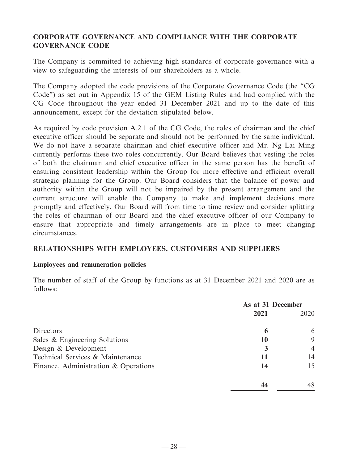## **CORPORATE GOVERNANCE AND COMPLIANCE WITH THE CORPORATE GOVERNANCE CODE**

The Company is committed to achieving high standards of corporate governance with a view to safeguarding the interests of our shareholders as a whole.

The Company adopted the code provisions of the Corporate Governance Code (the "CG Code") as set out in Appendix 15 of the GEM Listing Rules and had complied with the CG Code throughout the year ended 31 December 2021 and up to the date of this announcement, except for the deviation stipulated below.

As required by code provision A.2.1 of the CG Code, the roles of chairman and the chief executive officer should be separate and should not be performed by the same individual. We do not have a separate chairman and chief executive officer and Mr. Ng Lai Ming currently performs these two roles concurrently. Our Board believes that vesting the roles of both the chairman and chief executive officer in the same person has the benefit of ensuring consistent leadership within the Group for more effective and efficient overall strategic planning for the Group. Our Board considers that the balance of power and authority within the Group will not be impaired by the present arrangement and the current structure will enable the Company to make and implement decisions more promptly and effectively. Our Board will from time to time review and consider splitting the roles of chairman of our Board and the chief executive officer of our Company to ensure that appropriate and timely arrangements are in place to meet changing circumstances.

## **RELATIONSHIPS WITH EMPLOYEES, CUSTOMERS AND SUPPLIERS**

## **Employees and remuneration policies**

The number of staff of the Group by functions as at 31 December 2021 and 2020 are as follows:

|                                      | As at 31 December |                |
|--------------------------------------|-------------------|----------------|
|                                      | 2021              | 2020           |
| Directors                            | 6                 | 6              |
| Sales & Engineering Solutions        | 10                | 9              |
| Design & Development                 | 3                 | $\overline{4}$ |
| Technical Services & Maintenance     | 11                | 14             |
| Finance, Administration & Operations | 14                | 15             |
|                                      |                   | 48             |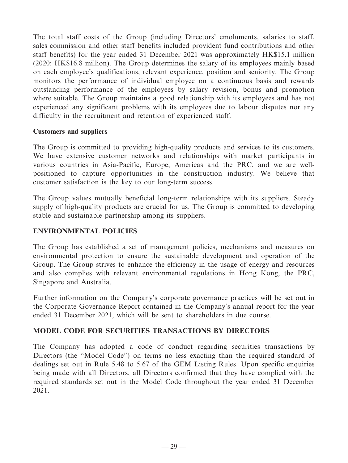The total staff costs of the Group (including Directors' emoluments, salaries to staff, sales commission and other staff benefits included provident fund contributions and other staff benefits) for the year ended 31 December 2021 was approximately HK\$15.1 million (2020: HK\$16.8 million). The Group determines the salary of its employees mainly based on each employee's qualifications, relevant experience, position and seniority. The Group monitors the performance of individual employee on a continuous basis and rewards outstanding performance of the employees by salary revision, bonus and promotion where suitable. The Group maintains a good relationship with its employees and has not experienced any significant problems with its employees due to labour disputes nor any difficulty in the recruitment and retention of experienced staff.

## **Customers and suppliers**

The Group is committed to providing high-quality products and services to its customers. We have extensive customer networks and relationships with market participants in various countries in Asia-Pacific, Europe, Americas and the PRC, and we are wellpositioned to capture opportunities in the construction industry. We believe that customer satisfaction is the key to our long-term success.

The Group values mutually beneficial long-term relationships with its suppliers. Steady supply of high-quality products are crucial for us. The Group is committed to developing stable and sustainable partnership among its suppliers.

## **ENVIRONMENTAL POLICIES**

The Group has established a set of management policies, mechanisms and measures on environmental protection to ensure the sustainable development and operation of the Group. The Group strives to enhance the efficiency in the usage of energy and resources and also complies with relevant environmental regulations in Hong Kong, the PRC, Singapore and Australia.

Further information on the Company's corporate governance practices will be set out in the Corporate Governance Report contained in the Company's annual report for the year ended 31 December 2021, which will be sent to shareholders in due course.

## **MODEL CODE FOR SECURITIES TRANSACTIONS BY DIRECTORS**

The Company has adopted a code of conduct regarding securities transactions by Directors (the "Model Code") on terms no less exacting than the required standard of dealings set out in Rule 5.48 to 5.67 of the GEM Listing Rules. Upon specific enquiries being made with all Directors, all Directors confirmed that they have complied with the required standards set out in the Model Code throughout the year ended 31 December 2021.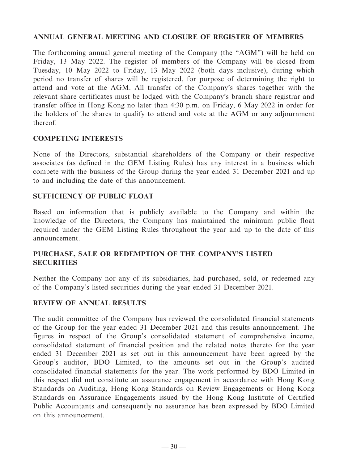## **ANNUAL GENERAL MEETING AND CLOSURE OF REGISTER OF MEMBERS**

The forthcoming annual general meeting of the Company (the "AGM") will be held on Friday, 13 May 2022. The register of members of the Company will be closed from Tuesday, 10 May 2022 to Friday, 13 May 2022 (both days inclusive), during which period no transfer of shares will be registered, for purpose of determining the right to attend and vote at the AGM. All transfer of the Company's shares together with the relevant share certificates must be lodged with the Company's branch share registrar and transfer office in Hong Kong no later than 4:30 p.m. on Friday, 6 May 2022 in order for the holders of the shares to qualify to attend and vote at the AGM or any adjournment thereof.

## **COMPETING INTERESTS**

None of the Directors, substantial shareholders of the Company or their respective associates (as defined in the GEM Listing Rules) has any interest in a business which compete with the business of the Group during the year ended 31 December 2021 and up to and including the date of this announcement.

## **SUFFICIENCY OF PUBLIC FLOAT**

Based on information that is publicly available to the Company and within the knowledge of the Directors, the Company has maintained the minimum public float required under the GEM Listing Rules throughout the year and up to the date of this announcement.

## **PURCHASE, SALE OR REDEMPTION OF THE COMPANY'S LISTED SECURITIES**

Neither the Company nor any of its subsidiaries, had purchased, sold, or redeemed any of the Company's listed securities during the year ended 31 December 2021.

## **REVIEW OF ANNUAL RESULTS**

The audit committee of the Company has reviewed the consolidated financial statements of the Group for the year ended 31 December 2021 and this results announcement. The figures in respect of the Group's consolidated statement of comprehensive income, consolidated statement of financial position and the related notes thereto for the year ended 31 December 2021 as set out in this announcement have been agreed by the Group's auditor, BDO Limited, to the amounts set out in the Group's audited consolidated financial statements for the year. The work performed by BDO Limited in this respect did not constitute an assurance engagement in accordance with Hong Kong Standards on Auditing, Hong Kong Standards on Review Engagements or Hong Kong Standards on Assurance Engagements issued by the Hong Kong Institute of Certified Public Accountants and consequently no assurance has been expressed by BDO Limited on this announcement.